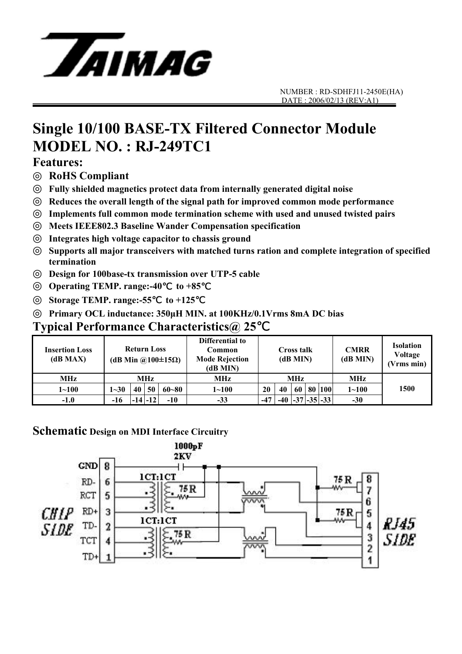

# **Single 10/100 BASE-TX Filtered Connector Module MODEL NO. : RJ-249TC1**

#### **Features:**

◎ **RoHS Compliant**

◎ **Fully shielded magnetics protect data from internally generated digital noise** 

Reduces the overall length of the signal path for improved common mode performance

Implements full common mode termination scheme with used and unused twisted pairs

◎ **Meets IEEE802.3 Baseline Wander Compensation specification** 

◎ **Integrates high voltage capacitor to chassis ground** 

Supports all major transceivers with matched turns ration and complete integration of specified **termination** 

◎ **Design for 100base-tx transmission over UTP-5 cable** 

**Operating TEMP. range:-40** to +85

◎ **Storage TEMP. range:-55**℃ **to +125**℃

◎ **Primary OCL inductance: 350µH MIN. at 100KHz/0.1Vrms 8mA DC bias**

### **Typical Performance Characteristics@ 25**℃

| <b>Insertion Loss</b><br>(dB MAX) | <b>Return Loss</b><br>(dB Min @100 $\pm$ 15 $\Omega$ ) |    |             |           | Differential to<br>Common<br><b>Mode Rejection</b><br>(dB MIN) | <b>Cross talk</b><br>(dB MIN) |    |      |  | <b>CMRR</b><br>(dB MIN) | <b>Isolation</b><br>Voltage<br>(Vrms min) |      |
|-----------------------------------|--------------------------------------------------------|----|-------------|-----------|----------------------------------------------------------------|-------------------------------|----|------|--|-------------------------|-------------------------------------------|------|
| MHz                               | MHz                                                    |    |             |           | MHz                                                            | <b>MHz</b>                    |    |      |  |                         | <b>MHz</b>                                |      |
| $1 - 100$                         | $1 - 30$                                               | 40 | 50          | $60 - 80$ | $1 - 100$                                                      | 20                            | 40 | 60 l |  | 80 100                  | $1 - 100$                                 | 1500 |
| $-1.0$                            | -16                                                    |    | $-14$ $-12$ | $-10$     | $-33$                                                          | $-47$                         |    |      |  | $-40$ $-37$ $-35$ $-33$ | $-30$                                     |      |

#### **Schematic Design on MDI Interface Circuitry**

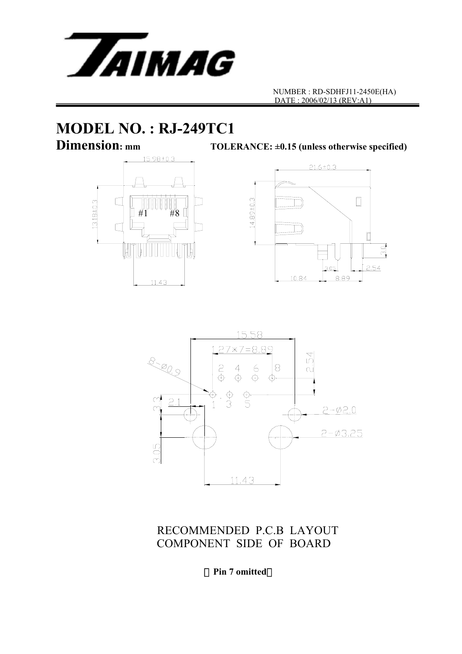

# **MODEL NO. : RJ-249TC1**

**Dimension:** mm TOLERANCE: ±0.15 (unless otherwise specified)







RECOMMENDED P.C.B LAYOUT COMPONENT SIDE OF BOARD

(**Pin 7 omitted**)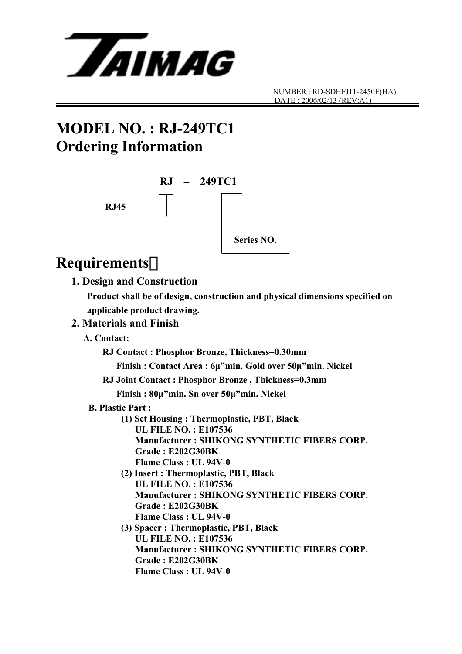

## **MODEL NO. : RJ-249TC1 Ordering Information**



### **Requirements**:

#### **1. Design and Construction**

 **Product shall be of design, construction and physical dimensions specified on applicable product drawing.** 

#### **2. Materials and Finish**

 **A. Contact:** 

 **RJ Contact : Phosphor Bronze, Thickness=0.30mm** 

 **Finish : Contact Area : 6µ"min. Gold over 50µ"min. Nickel** 

**RJ Joint Contact : Phosphor Bronze , Thickness=0.3mm** 

 **Finish : 80µ"min. Sn over 50µ"min. Nickel** 

- **B. Plastic Part :** 
	- **(1) Set Housing : Thermoplastic, PBT, Black UL FILE NO. : E107536 Manufacturer : SHIKONG SYNTHETIC FIBERS CORP. Grade : E202G30BK Flame Class : UL 94V-0**
	- **(2) Insert : Thermoplastic, PBT, Black UL FILE NO. : E107536 Manufacturer : SHIKONG SYNTHETIC FIBERS CORP. Grade : E202G30BK Flame Class : UL 94V-0**
	- **(3) Spacer : Thermoplastic, PBT, Black UL FILE NO. : E107536 Manufacturer : SHIKONG SYNTHETIC FIBERS CORP. Grade : E202G30BK Flame Class : UL 94V-0**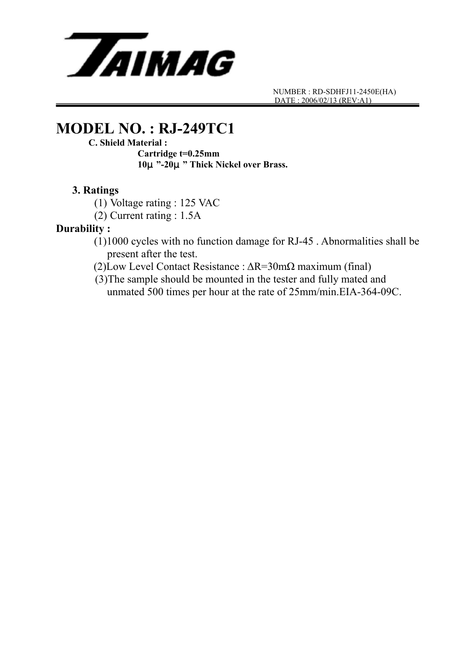

### **MODEL NO. : RJ-249TC1**

#### **C. Shield Material :**

 **Cartridge t=0.25mm 10**μ**"-20**μ**" Thick Nickel over Brass.** 

#### **3. Ratings**

(1) Voltage rating : 125 VAC

(2) Current rating : 1.5A

#### **Durability :**

- (1)1000 cycles with no function damage for RJ-45 . Abnormalities shall be present after the test.
- (2)Low Level Contact Resistance : ∆R=30mΩ maximum (final)
- (3)The sample should be mounted in the tester and fully mated and unmated 500 times per hour at the rate of 25mm/min.EIA-364-09C.